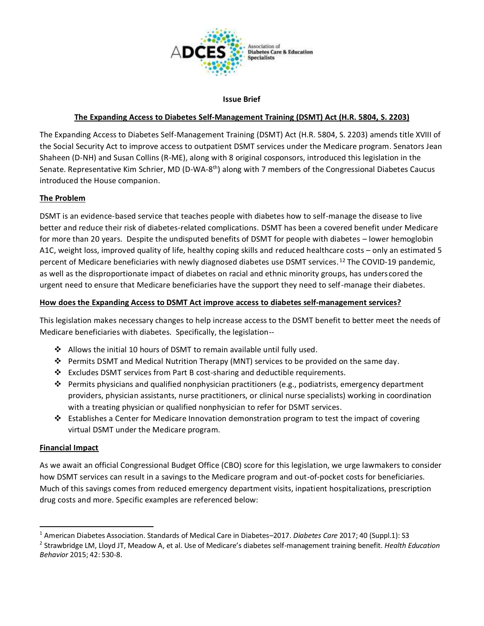

#### **Issue Brief**

# **The Expanding Access to Diabetes Self-Management Training (DSMT) Act (H.R. 5804, S. 2203)**

The Expanding Access to Diabetes Self-Management Training (DSMT) Act (H.R. 5804, S. 2203) amends title XVIII of the Social Security Act to improve access to outpatient DSMT services under the Medicare program. Senators Jean Shaheen (D-NH) and Susan Collins (R-ME), along with 8 original cosponsors, introduced this legislation in the Senate. Representative Kim Schrier, MD (D-WA-8<sup>th</sup>) along with 7 members of the Congressional Diabetes Caucus introduced the House companion.

## **The Problem**

DSMT is an evidence-based service that teaches people with diabetes how to self-manage the disease to live better and reduce their risk of diabetes-related complications. DSMT has been a covered benefit under Medicare for more than 20 years. Despite the undisputed benefits of DSMT for people with diabetes – lower hemoglobin A1C, weight loss, improved quality of life, healthy coping skills and reduced healthcare costs – only an estimated 5 percent of Medicare beneficiaries with newly diagnosed diabetes use DSMT services.<sup>12</sup> The COVID-19 pandemic, as well as the disproportionate impact of diabetes on racial and ethnic minority groups, has unders cored the urgent need to ensure that Medicare beneficiaries have the support they need to self-manage their diabetes.

## **How does the Expanding Access to DSMT Act improve access to diabetes self-management services?**

This legislation makes necessary changes to help increase access to the DSMT benefit to better meet the needs of Medicare beneficiaries with diabetes. Specifically, the legislation--

- ❖ Allows the initial 10 hours of DSMT to remain available until fully used.
- ❖ Permits DSMT and Medical Nutrition Therapy (MNT) services to be provided on the same day.
- ❖ Excludes DSMT services from Part B cost-sharing and deductible requirements.
- ❖ Permits physicians and qualified nonphysician practitioners (e.g., podiatrists, emergency department providers, physician assistants, nurse practitioners, or clinical nurse specialists) working in coordination with a treating physician or qualified nonphysician to refer for DSMT services.
- ❖ Establishes a Center for Medicare Innovation demonstration program to test the impact of covering virtual DSMT under the Medicare program.

#### **Financial Impact**

As we await an official Congressional Budget Office (CBO) score for this legislation, we urge lawmakers to consider how DSMT services can result in a savings to the Medicare program and out-of-pocket costs for beneficiaries. Much of this savings comes from reduced emergency department visits, inpatient hospitalizations, prescription drug costs and more. Specific examples are referenced below:

<sup>1</sup> American Diabetes Association. Standards of Medical Care in Diabetes–2017. *Diabetes Care* 2017; 40 (Suppl.1): S3

<sup>2</sup> Strawbridge LM, Lloyd JT, Meadow A, et al. Use of Medicare's diabetes self-management training benefit. *Health Education Behavior* 2015; 42: 530-8.